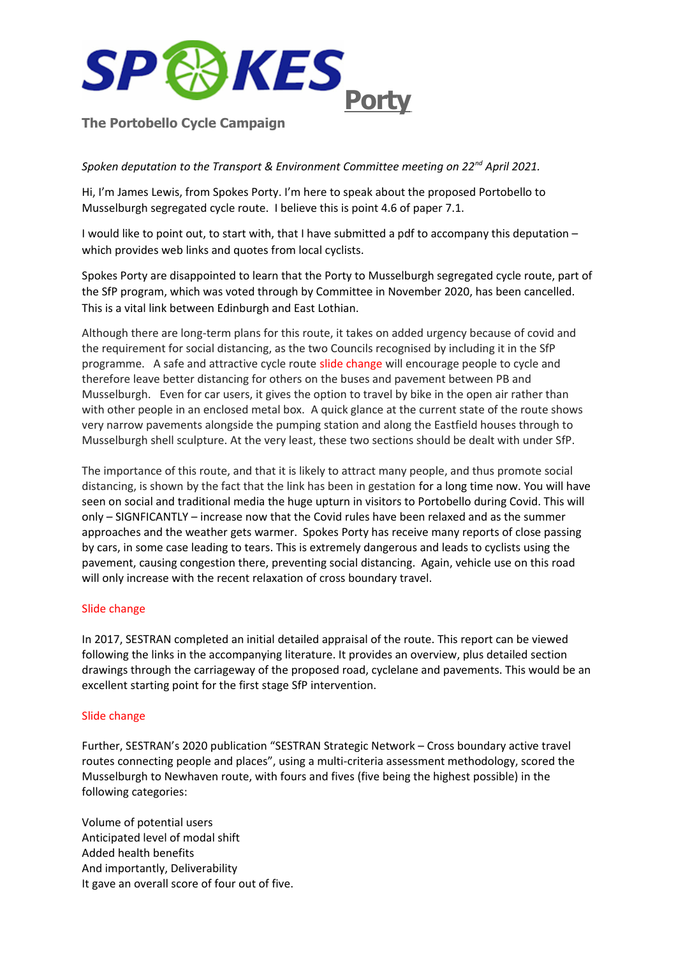

## **The Portobello Cycle Campaign**

### *Spoken deputation to the Transport & Environment Committee meeting on 22nd April 2021.*

Hi, I'm James Lewis, from Spokes Porty. I'm here to speak about the proposed Portobello to Musselburgh segregated cycle route. I believe this is point 4.6 of paper 7.1.

I would like to point out, to start with, that I have submitted a pdf to accompany this deputation – which provides web links and quotes from local cyclists.

Spokes Porty are disappointed to learn that the Porty to Musselburgh segregated cycle route, part of the SfP program, which was voted through by Committee in November 2020, has been cancelled. This is a vital link between Edinburgh and East Lothian.

Although there are long-term plans for this route, it takes on added urgency because of covid and the requirement for social distancing, as the two Councils recognised by including it in the SfP programme. A safe and attractive cycle route slide change will encourage people to cycle and therefore leave better distancing for others on the buses and pavement between PB and Musselburgh. Even for car users, it gives the option to travel by bike in the open air rather than with other people in an enclosed metal box. A quick glance at the current state of the route shows very narrow pavements alongside the pumping station and along the Eastfield houses through to Musselburgh shell sculpture. At the very least, these two sections should be dealt with under SfP.

The importance of this route, and that it is likely to attract many people, and thus promote social distancing, is shown by the fact that the link has been in gestation for a long time now. You will have seen on social and traditional media the huge upturn in visitors to Portobello during Covid. This will only – SIGNFICANTLY – increase now that the Covid rules have been relaxed and as the summer approaches and the weather gets warmer. Spokes Porty has receive many reports of close passing by cars, in some case leading to tears. This is extremely dangerous and leads to cyclists using the pavement, causing congestion there, preventing social distancing. Again, vehicle use on this road will only increase with the recent relaxation of cross boundary travel.

### Slide change

In 2017, SESTRAN completed an initial detailed appraisal of the route. This report can be viewed following the links in the accompanying literature. It provides an overview, plus detailed section drawings through the carriageway of the proposed road, cyclelane and pavements. This would be an excellent starting point for the first stage SfP intervention.

#### Slide change

Further, SESTRAN's 2020 publication "SESTRAN Strategic Network – Cross boundary active travel routes connecting people and places", using a multi-criteria assessment methodology, scored the Musselburgh to Newhaven route, with fours and fives (five being the highest possible) in the following categories:

Volume of potential users Anticipated level of modal shift Added health benefits And importantly, Deliverability It gave an overall score of four out of five.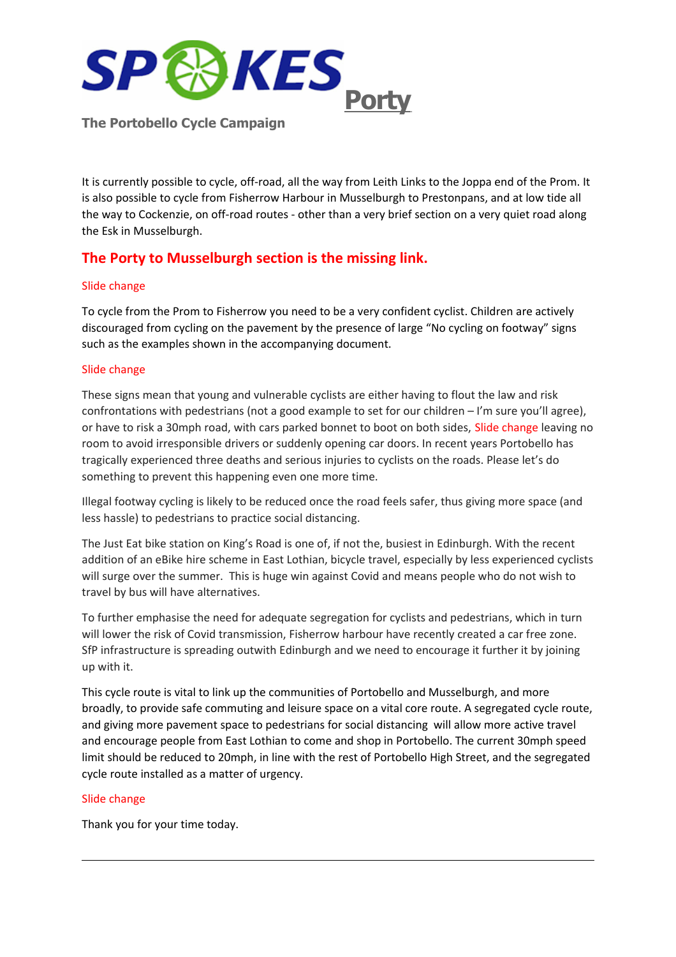

**The Portobello Cycle Campaign**

It is currently possible to cycle, off-road, all the way from Leith Links to the Joppa end of the Prom. It is also possible to cycle from Fisherrow Harbour in Musselburgh to Prestonpans, and at low tide all the way to Cockenzie, on off-road routes - other than a very brief section on a very quiet road along the Esk in Musselburgh.

# **The Porty to Musselburgh section is the missing link.**

### Slide change

To cycle from the Prom to Fisherrow you need to be a very confident cyclist. Children are actively discouraged from cycling on the pavement by the presence of large "No cycling on footway" signs such as the examples shown in the accompanying document.

### Slide change

These signs mean that young and vulnerable cyclists are either having to flout the law and risk confrontations with pedestrians (not a good example to set for our children – I'm sure you'll agree), or have to risk a 30mph road, with cars parked bonnet to boot on both sides, Slide change leaving no room to avoid irresponsible drivers or suddenly opening car doors. In recent years Portobello has tragically experienced three deaths and serious injuries to cyclists on the roads. Please let's do something to prevent this happening even one more time.

Illegal footway cycling is likely to be reduced once the road feels safer, thus giving more space (and less hassle) to pedestrians to practice social distancing.

The Just Eat bike station on King's Road is one of, if not the, busiest in Edinburgh. With the recent addition of an eBike hire scheme in East Lothian, bicycle travel, especially by less experienced cyclists will surge over the summer. This is huge win against Covid and means people who do not wish to travel by bus will have alternatives.

To further emphasise the need for adequate segregation for cyclists and pedestrians, which in turn will lower the risk of Covid transmission, Fisherrow harbour have recently created a car free zone. SfP infrastructure is spreading outwith Edinburgh and we need to encourage it further it by joining up with it.

This cycle route is vital to link up the communities of Portobello and Musselburgh, and more broadly, to provide safe commuting and leisure space on a vital core route. A segregated cycle route, and giving more pavement space to pedestrians for social distancing will allow more active travel and encourage people from East Lothian to come and shop in Portobello. The current 30mph speed limit should be reduced to 20mph, in line with the rest of Portobello High Street, and the segregated cycle route installed as a matter of urgency.

### Slide change

Thank you for your time today.